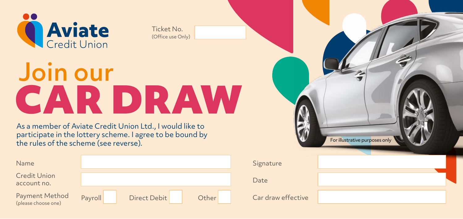

Ticket No. (Office use Only)

## Join our CAR DRAW

As a member of Aviate Credit Union Ltd., I would like to participate in the lottery scheme. I agree to be bound by the rules of the scheme (see reverse).

| Name                                  |         |              |       |
|---------------------------------------|---------|--------------|-------|
| <b>Credit Union</b><br>account no.    |         |              |       |
| Payment Method<br>(please choose one) | Payroll | Direct Debit | Other |